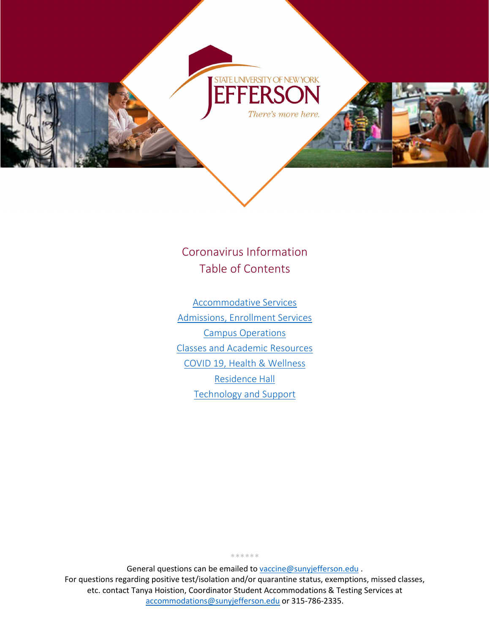

Coronavirus Information Table of Contents

<span id="page-0-0"></span>[Accommodative Services](#page-1-0) [Admissions, Enrollment Services](#page-2-0) [Campus Operations](#page-2-1) [Classes and Academic Resources](#page-1-0) [COVID 19, Health & Wellness](#page-3-0) [Residence Hall](#page-5-0) [Technology and Support](#page-7-0)

General questions can be emailed to [vaccine@sunyjefferson.edu](mailto:vaccine@sunyjefferson.edu). For questions regarding positive test/isolation and/or quarantine status, exemptions, missed classes, etc. contact Tanya Hoistion, Coordinator Student Accommodations & Testing Services at [accommodations@sunyjefferson.edu](mailto:accommodations@sunyjefferson.edu) or 315-786-2335.

\*\*\*\*\*\*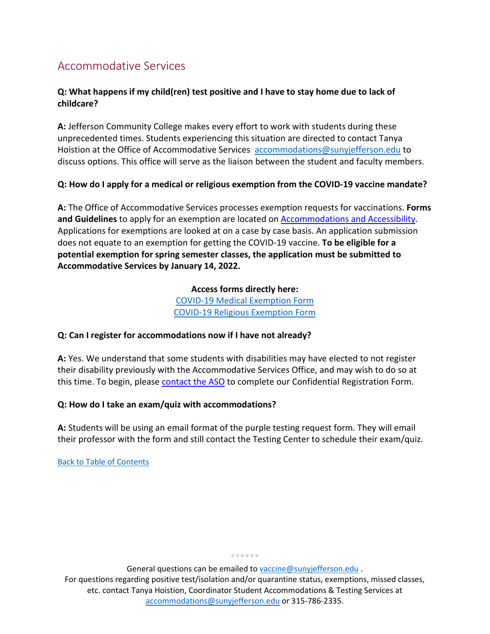# <span id="page-1-0"></span>Accommodative Services

## **Q: What happens if my child(ren) test positive and I have to stay home due to lack of childcare?**

**A:** Jefferson Community College makes every effort to work with students during these unprecedented times. Students experiencing this situation are directed to contact Tanya Hoistion at the Office of Accommodative Services [accommodations@sunyjefferson.edu](mailto:accommodations@sunyjefferson.edu) to discuss options. This office will serve as the liaison between the student and faculty members.

## **Q: How do I apply for a medical or religious exemption from the COVID-19 vaccine mandate?**

**A:** The Office of Accommodative Services processes exemption requests for vaccinations. **Forms and Guidelines** to apply for an exemption are located on [Accommodations and Accessibility.](https://livesunyjefferson-my.sharepoint.com/academics/support-services/accommodations/index.php) Applications for exemptions are looked at on a case by case basis. An application submission does not equate to an exemption for getting the COVID-19 vaccine. **To be eligible for a potential exemption for spring semester classes, the application must be submitted to Accommodative Services by January 14, 2022.**

> **Access forms directly here:** [COVID-19 Medical Exemption Form](https://sunyjefferson.edu/academics/documents/COVID-19_Medical_Exemption_Form.pdf) [COVID-19 Religious Exemption](https://sunyjefferson.edu/academics/documents/COVID-19_Religious_Exemption_Form.pdf) Form

### **Q: Can I register for accommodations now if I have not already?**

**A:** Yes. We understand that some students with disabilities may have elected to not register their disability previously with the Accommodative Services Office, and may wish to do so at this time. To begin, please [contact the ASO](https://livesunyjefferson-my.sharepoint.com/academics/support-services/accommodations/) to complete our Confidential Registration Form.

### **Q: How do I take an exam/quiz with accommodations?**

**A:** Students will be using an email format of the purple testing request form. They will email their professor with the form and still contact the Testing Center to schedule their exam/quiz.

[Back to Table of Contents](#page-0-0)

\*\*\*\*\*\*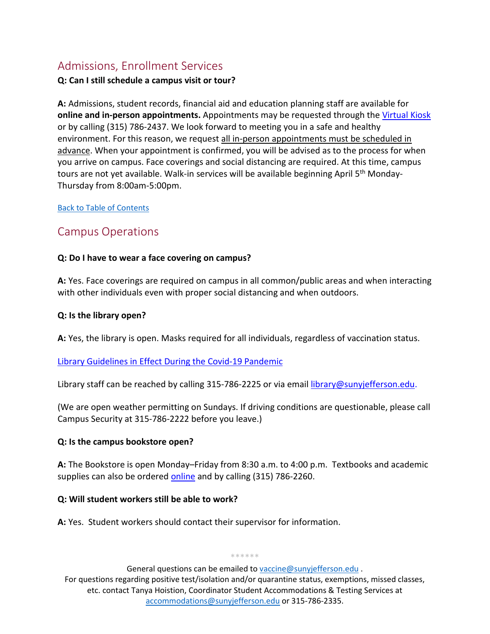# <span id="page-2-0"></span>Admissions, Enrollment Services

#### **Q: Can I still schedule a campus visit or tour?**

**A:** Admissions, student records, financial aid and education planning staff are available for **online and in-person appointments.** Appointments may be requested through the [Virtual Kiosk](https://www.sunyjefferson.edu/admissions/kiosk.php) or by calling (315) 786-2437. We look forward to meeting you in a safe and healthy environment. For this reason, we request all in-person appointments must be scheduled in advance. When your appointment is confirmed, you will be advised as to the process for when you arrive on campus. Face coverings and social distancing are required. At this time, campus tours are not yet available. Walk-in services will be available beginning April 5<sup>th</sup> Monday-Thursday from 8:00am-5:00pm.

#### [Back to Table of Contents](#page-0-0)

# <span id="page-2-1"></span>Campus Operations

#### **Q: Do I have to wear a face covering on campus?**

**A:** Yes. Face coverings are required on campus in all common/public areas and when interacting with other individuals even with proper social distancing and when outdoors.

#### **Q: Is the library open?**

**A:** Yes, the library is open. Masks required for all individuals, regardless of vaccination status.

#### [Library Guidelines in Effect During the Covid-19 Pandemic](https://sunyjefferson.libguides.com/about_the_library/covid19)

Library staff can be reached by calling 315-786-2225 or via email [library@sunyjefferson.edu.](mailto:library@sunyjefferson.edu)

(We are open weather permitting on Sundays. If driving conditions are questionable, please call Campus Security at 315-786-2222 before you leave.)

#### **Q: Is the campus bookstore open?**

**A:** The Bookstore is open Monday–Friday from 8:30 a.m. to 4:00 p.m. Textbooks and academic supplies can also be ordered [online](https://www.bkstr.com/jccstore/home) and by calling (315) 786-2260.

#### **Q: Will student workers still be able to work?**

**A:** Yes. Student workers should contact their supervisor for information.

\*\*\*\*\*\*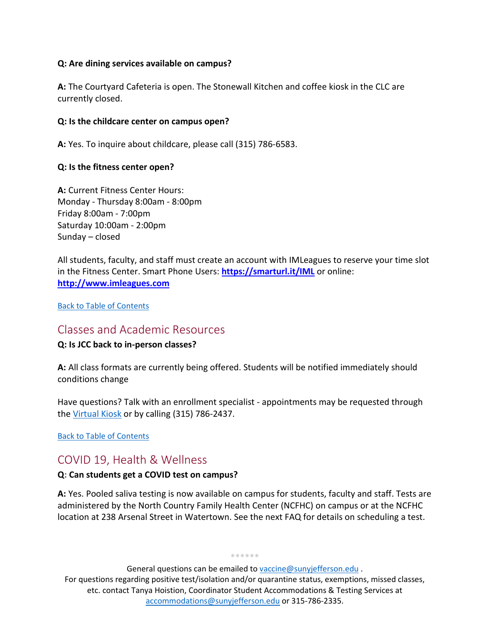#### **Q: Are dining services available on campus?**

**A:** The Courtyard Cafeteria is open. The Stonewall Kitchen and coffee kiosk in the CLC are currently closed.

#### **Q: Is the childcare center on campus open?**

**A:** Yes. To inquire about childcare, please call (315) 786-6583.

#### **Q: Is the fitness center open?**

**A:** Current Fitness Center Hours: Monday - Thursday 8:00am - 8:00pm Friday 8:00am - 7:00pm Saturday 10:00am - 2:00pm Sunday – closed

All students, faculty, and staff must create an account with IMLeagues to reserve your time slot in the Fitness Center. Smart Phone Users: **<https://smarturl.it/IML>** or online: **[http://www.imleagues.com](http://www.imleagues.com/)**

[Back to Table of Contents](#page-0-0)

## Classes and Academic Resources

### **Q: Is JCC back to in-person classes?**

**A:** All class formats are currently being offered. Students will be notified immediately should conditions change

Have questions? Talk with an enrollment specialist - appointments may be requested through the [Virtual Kiosk](https://www.sunyjefferson.edu/admissions/kiosk.php) or by calling (315) 786-2437.

[Back to Table of Contents](#page-0-0)

# <span id="page-3-0"></span>COVID 19, Health & Wellness

### **Q: Can students get a COVID test on campus?**

**A:** Yes. Pooled saliva testing is now available on campus for students, faculty and staff. Tests are administered by the North Country Family Health Center (NCFHC) on campus or at the NCFHC location at 238 Arsenal Street in Watertown. See the next FAQ for details on scheduling a test.

\*\*\*\*\*\*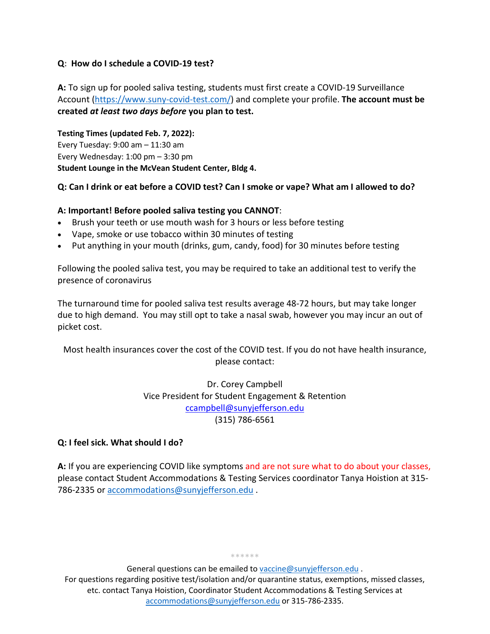#### **Q: How do I schedule a COVID-19 test?**

**A:** To sign up for pooled saliva testing, students must first create a COVID-19 Surveillance Account [\(https://www.suny-covid-test.com/\)](https://www.suny-covid-test.com/) and complete your profile. **The account must be created** *at least two days before* **you plan to test.**

**Testing Times (updated Feb. 7, 2022):** Every Tuesday: 9:00 am – 11:30 am Every Wednesday: 1:00 pm – 3:30 pm **Student Lounge in the McVean Student Center, Bldg 4.**

#### **Q: Can I drink or eat before a COVID test? Can I smoke or vape? What am I allowed to do?**

#### **A: Important! Before pooled saliva testing you CANNOT**:

- Brush your teeth or use mouth wash for 3 hours or less before testing
- Vape, smoke or use tobacco within 30 minutes of testing
- Put anything in your mouth (drinks, gum, candy, food) for 30 minutes before testing

Following the pooled saliva test, you may be required to take an additional test to verify the presence of coronavirus

The turnaround time for pooled saliva test results average 48-72 hours, but may take longer due to high demand. You may still opt to take a nasal swab, however you may incur an out of picket cost.

Most health insurances cover the cost of the COVID test. If you do not have health insurance, please contact:

> Dr. Corey Campbell Vice President for Student Engagement & Retention [ccampbell@sunyjefferson.edu](mailto:ccampbell@sunyjefferson.edu) (315) 786-6561

#### **Q: I feel sick. What should I do?**

**A:** If you are experiencing COVID like symptoms and are not sure what to do about your classes, please contact Student Accommodations & Testing Services coordinator Tanya Hoistion at 315- 786-2335 or [accommodations@sunyjefferson.edu](mailto:accommodations@sunyjefferson.edu) .

\*\*\*\*\*\*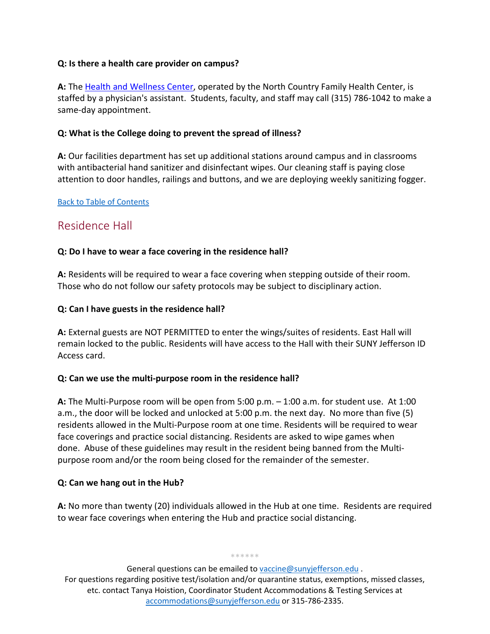### **Q: Is there a health care provider on campus?**

**A:** The [Health and Wellness Center,](https://livesunyjefferson-my.sharepoint.com/student-life/health-wellness/index.php) operated by the North Country Family Health Center, is staffed by a physician's assistant. Students, faculty, and staff may call (315) 786-1042 to make a same-day appointment.

#### **Q: What is the College doing to prevent the spread of illness?**

**A:** Our facilities department has set up additional stations around campus and in classrooms with antibacterial hand sanitizer and disinfectant wipes. Our cleaning staff is paying close attention to door handles, railings and buttons, and we are deploying weekly sanitizing fogger.

#### [Back to Table of Contents](#page-0-0)

# <span id="page-5-0"></span>Residence Hall

### **Q: Do I have to wear a face covering in the residence hall?**

**A:** Residents will be required to wear a face covering when stepping outside of their room. Those who do not follow our safety protocols may be subject to disciplinary action.

#### **Q: Can I have guests in the residence hall?**

**A:** External guests are NOT PERMITTED to enter the wings/suites of residents. East Hall will remain locked to the public. Residents will have access to the Hall with their SUNY Jefferson ID Access card.

### **Q: Can we use the multi-purpose room in the residence hall?**

**A:** The Multi-Purpose room will be open from 5:00 p.m. – 1:00 a.m. for student use. At 1:00 a.m., the door will be locked and unlocked at 5:00 p.m. the next day. No more than five (5) residents allowed in the Multi-Purpose room at one time. Residents will be required to wear face coverings and practice social distancing. Residents are asked to wipe games when done. Abuse of these guidelines may result in the resident being banned from the Multipurpose room and/or the room being closed for the remainder of the semester.

### **Q: Can we hang out in the Hub?**

**A:** No more than twenty (20) individuals allowed in the Hub at one time. Residents are required to wear face coverings when entering the Hub and practice social distancing.

\*\*\*\*\*\*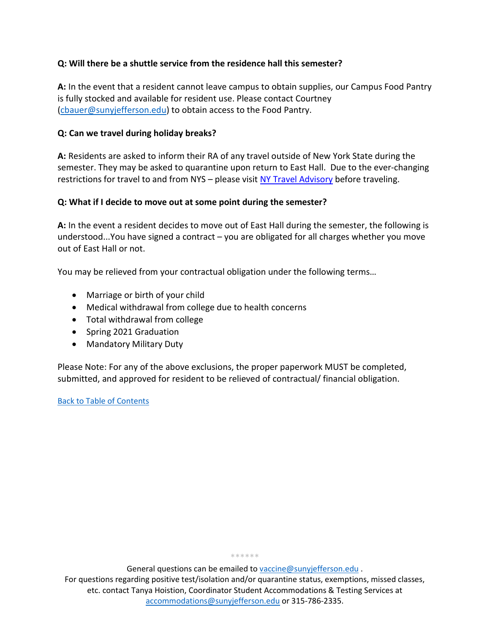## **Q: Will there be a shuttle service from the residence hall this semester?**

**A:** In the event that a resident cannot leave campus to obtain supplies, our Campus Food Pantry is fully stocked and available for resident use. Please contact Courtney [\(cbauer@sunyjefferson.edu\)](mailto:cbauer@sunyjefferson.edu?subject=Food%20Pantry%20Access) to obtain access to the Food Pantry.

### **Q: Can we travel during holiday breaks?**

**A:** Residents are asked to inform their RA of any travel outside of New York State during the semester. They may be asked to quarantine upon return to East Hall. Due to the ever-changing restrictions for travel to and from NYS – please visit [NY Travel Advisory](https://coronavirus.health.ny.gov/covid-19-travel-advisory) before traveling.

#### **Q: What if I decide to move out at some point during the semester?**

**A:** In the event a resident decides to move out of East Hall during the semester, the following is understood...You have signed a contract – you are obligated for all charges whether you move out of East Hall or not.

You may be relieved from your contractual obligation under the following terms…

- Marriage or birth of your child
- Medical withdrawal from college due to health concerns
- Total withdrawal from college
- Spring 2021 Graduation
- Mandatory Military Duty

Please Note: For any of the above exclusions, the proper paperwork MUST be completed, submitted, and approved for resident to be relieved of contractual/ financial obligation.

#### [Back to Table of Contents](#page-0-0)

\*\*\*\*\*\*